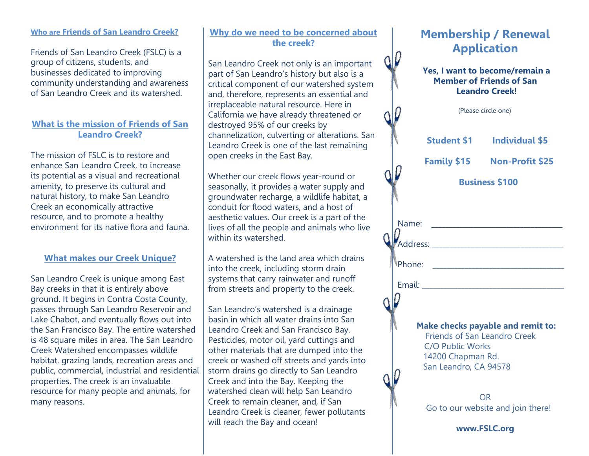#### **Who are Friends of San Leandro Creek?**

Friends of San Leandro Creek (FSLC) is a group of citizens, students, and businesses dedicated to improving community understanding and awareness of San Leandro Creek and its watershed.

#### **What is the mission of Friends of San Leandro Creek?**

The mission of FSLC is to restore and enhance San Leandro Creek, to increase its potential as a visual and recreational amenity, to preserve its cultural and natural history, to make San Leandro Creek an economically attractive resource, and to promote a healthy environment for its native flora and fauna.

#### **What makes our Creek Unique?**

San Leandro Creek is unique among East Bay creeks in that it is entirely above ground. It begins in Contra Costa County, passes through San Leandro Reservoir and Lake Chabot, and eventually flows out into the San Francisco Bay. The entire watershed is 48 square miles in area. The San Leandro Creek Watershed encompasses wildlife habitat, grazing lands, recreation areas and public, commercial, industrial and residential properties. The creek is an invaluable resource for many people and animals, for many reasons.

#### **Why do we need to be concerned about the creek?**

San Leandro Creek not only is an important part of San Leandro's history but also is a critical component of our watershed system and, therefore, represents an essential and irreplaceable natural resource. Here in California we have already threatened or destroyed 95% of our creeks by channelization, culverting or alterations. San Leandro Creek is one of the last remaining open creeks in the East Bay.

Whether our creek flows year-round or seasonally, it provides a water supply and groundwater recharge, a wildlife habitat, a conduit for flood waters, and a host of aesthetic values. Our creek is a part of the lives of all the people and animals who live within its watershed.

A watershed is the land area which drains into the creek, including storm drain systems that carry rainwater and runoff from streets and property to the creek.

San Leandro's watershed is a drainage basin in which all water drains into San Leandro Creek and San Francisco Bay. Pesticides, motor oil, yard cuttings and other materials that are dumped into the creek or washed off streets and yards into storm drains go directly to San Leandro Creek and into the Bay. Keeping the watershed clean will help San Leandro Creek to remain cleaner, and, if San Leandro Creek is cleaner, fewer pollutants will reach the Bay and ocean!

# **Membership / Renewal Application**

 $Q$ 

#### **Yes, I want to become/remain a Member of Friends of San Leandro Creek**!

|                                                                                                       | (Please circle one)   |                             |
|-------------------------------------------------------------------------------------------------------|-----------------------|-----------------------------|
|                                                                                                       |                       | Student \$1 Individual \$5  |
|                                                                                                       |                       | Family \$15 Non-Profit \$25 |
|                                                                                                       | <b>Business \$100</b> |                             |
|                                                                                                       |                       |                             |
| <b>)</b><br>Address: ___________________________                                                      |                       |                             |
|                                                                                                       |                       |                             |
|                                                                                                       |                       |                             |
| Make checks payable and remit to:<br><b>Friends of San Leandro Creek</b><br>$C/O$ Public <i>Works</i> |                       |                             |

C/O Public Works 14200 Chapman Rd. San Leandro, CA 94578

OR Go to our website and join there!

**www.FSLC.org**